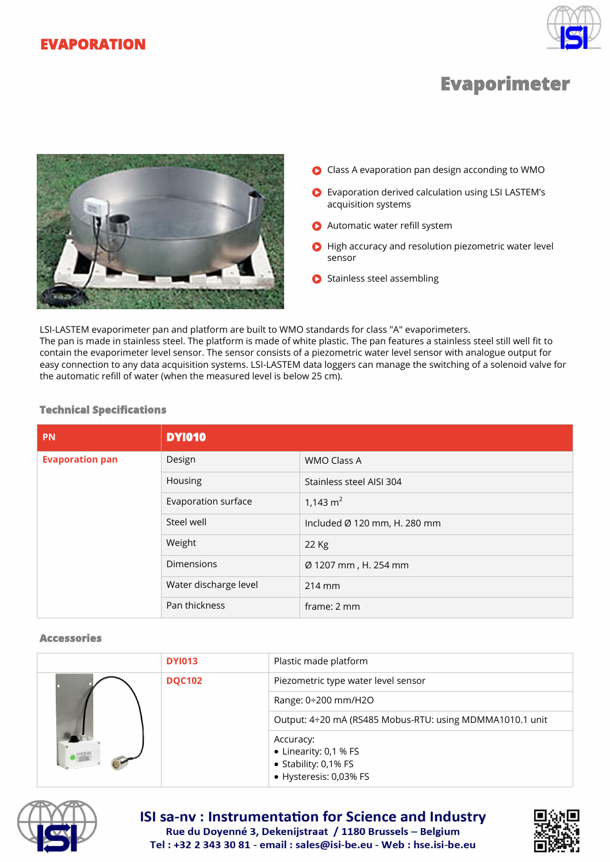



# **Evaporimeter**



- Class A evaporation pan design acconding to WMO
- Evaporation derived calculation using LSI LASTEM's acquisition systems
- **Automatic water refill system**
- **C** High accuracy and resolution piezometric water level sensor
- **C** Stainless steel assembling

LSI-LASTEM evaporimeter pan and platform are built to WMO standards for class "A" evaporimeters. The pan is made in stainless steel. The platform is made of white plastic. The pan features a stainless steel still well fit to contain the evaporimeter level sensor. The sensor consists of a piezometric water level sensor with analogue output for easy connection to any data acquisition systems. LSI-LASTEM data loggers can manage the switching of a solenoid valve for the automatic refill of water (when the measured level is below 25 cm).

| <b>PN</b>              | <b>DY1010</b>         |                              |
|------------------------|-----------------------|------------------------------|
| <b>Evaporation pan</b> | Design                | <b>WMO Class A</b>           |
|                        | Housing               | Stainless steel AISI 304     |
|                        | Evaporation surface   | 1,143 $m2$                   |
|                        | Steel well            | Included Ø 120 mm, H. 280 mm |
|                        | Weight                | 22 Kg                        |
|                        | Dimensions            | Ø 1207 mm, H. 254 mm         |
|                        | Water discharge level | 214 mm                       |
|                        | Pan thickness         | frame: 2 mm                  |

#### **Technical Specifications**

#### **Accessories**

|  | <b>DY1013</b> | Plastic made platform                                    |
|--|---------------|----------------------------------------------------------|
|  | <b>DQC102</b> | Piezometric type water level sensor                      |
|  |               | Range: $0\div 200$ mm/H2O                                |
|  |               | Output: 4÷20 mA (RS485 Mobus-RTU: using MDMMA1010.1 unit |
|  |               | Accuracy:                                                |
|  |               | • Linearity: 0,1 % FS<br>• Stability: 0,1% FS            |
|  |               | • Hysteresis: 0,03% FS                                   |



# **ISI sa-nv: Instrumentation for Science and Industry** Rue du Doyenné 3, Dekenijstraat / 1180 Brussels - Belgium Tel: +32 2 343 30 81 - email: sales@isi-be.eu - Web: hse.isi-be.eu